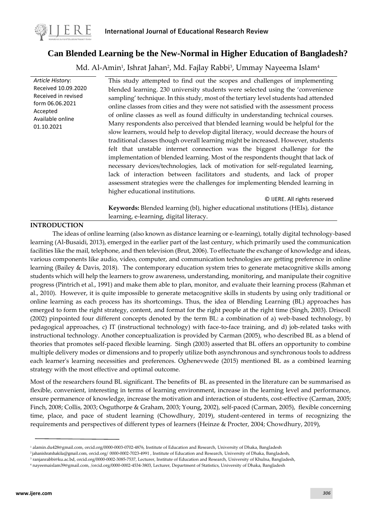

# **Can Blended Learning be the New-Normal in Higher Education of Bangladesh?**

Md. Al-Amin<sup>1</sup>, Ishrat Jahan<sup>2</sup>, Md. Fajlay Rabbi<sup>3</sup>, Ummay Nayeema Islam<sup>4</sup>

*Article Histor*y: Received 10.09.2020 Received in revised form 06.06.2021 Accepted Available online 01.10.2021 This study attempted to find out the scopes and challenges of implementing blended learning. 230 university students were selected using the 'convenience sampling' technique. In this study, most of the tertiary level students had attended online classes from cities and they were not satisfied with the assessment process of online classes as well as found difficulty in understanding technical courses. Many respondents also perceived that blended learning would be helpful for the slow learners, would help to develop digital literacy, would decrease the hours of traditional classes though overall learning might be increased. However, students felt that unstable internet connection was the biggest challenge for the implementation of blended learning. Most of the respondents thought that lack of necessary devices/technologies, lack of motivation for self-regulated learning, lack of interaction between facilitators and students, and lack of proper assessment strategies were the challenges for implementing blended learning in higher educational institutions. © IJERE. All rights reserved **Keywords:** Blended learning (bl), higher educational ınstitutions (HEIs), distance learning, e-learning, digital literacy.

## **INTRODUCTION**

The ideas of online learning (also known as distance learning or e-learning), totally digital technology-based learning (Al-Busaidi, 2013), emerged in the earlier part of the last century, which primarily used the communication facilities like the mail, telephone, and then television (Brut, 2006). To effectuate the exchange of knowledge and ideas, various components like audio, video, computer, and communication technologies are getting preference in online learning (Bailey & Davis, 2018). The contemporary education system tries to generate metacognitive skills among students which will help the learners to grow awareness, understanding, monitoring, and manipulate their cognitive progress (Pintrich et al., 1991) and make them able to plan, monitor, and evaluate their learning process (Rahman et al., 2010). However, it is quite impossible to generate metacognitive skills in students by using only traditional or online learning as each process has its shortcomings. Thus, the idea of Blending Learning (BL) approaches has emerged to form the right strategy, content, and format for the right people at the right time (Singh, 2003). Driscoll (2002) pinpointed four different concepts denoted by the term BL: a combination of a) web-based technology, b) pedagogical approaches, c) IT (instructional technology) with face-to-face training, and d) job-related tasks with instructional technology. Another conceptualization is provided by Carman (2005), who described BL as a blend of theories that promotes self-paced flexible learning. Singh (2003) asserted that BL offers an opportunity to combine multiple delivery modes or dimensions and to properly utilize both asynchronous and synchronous tools to address each learner's learning necessities and preferences. Oghenevwede (2015) mentioned BL as a combined learning strategy with the most effective and optimal outcome.

Most of the researchers found BL significant. The benefits of BL as presented in the literature can be summarised as flexible, convenient, interesting in terms of learning environment, increase in the learning level and performance, ensure permanence of knowledge, increase the motivation and interaction of students, cost-effective (Carman, 2005; Finch, 2008; Collis, 2003; Osguthorpe & Graham, 2003; Young, 2002), self-paced (Carman, 2005), flexible concerning time, place, and pace of student learning (Chowdhury, 2019), student-centered in terms of recognizing the requirements and perspectives of different types of learners (Heinze & Procter, 2004; Chowdhury, 2019),

<sup>1</sup> [alamin.du428@gmail.com,](mailto:alamin.du428@gmail.com) orcid.org/0000-0003-0702-4876, Institute of Education and Research, University of Dhaka, Bangladesh

<sup>2</sup>[jahanishratshakila@gmail.com](mailto:jahanishratshakila@gmail.com), orcid.org/ [0000-0002-7023-4991 ,](https://orcid.org/0000-0002-6918-6953) Institute of Education and Research, University of Dhaka, Bangladesh,

<sup>3</sup> [ranjanrabbi@ku.ac.bd,](mailto:ranjanrabbi@ku.ac.bd) orcid.org/0000-0002-3085-7537, Lecturer, Institute of Education and Research, University of Khulna, Bangladesh,

<sup>4</sup> [nayeemaislam39@gmail.com,](mailto:nayeemaislam39@gmail.com) [/orcid.org/0000-0002-4534-3803,](https://orcid.org/0000-0002-4534-3803) Lecturer, Department of Statistics, University of Dhaka, Bangladesh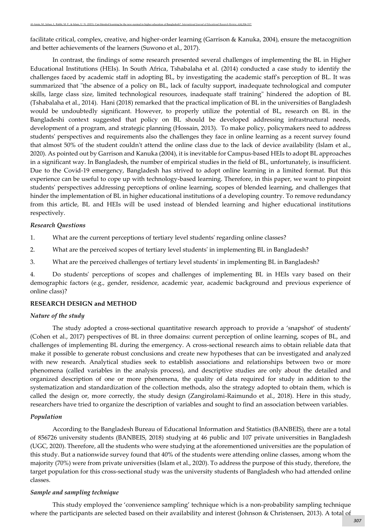facilitate critical, complex, creative, and higher-order learning (Garrison & Kanuka, 2004), ensure the metacognition and better achievements of the learners (Suwono et al., 2017).

In contrast, the findings of some research presented several challenges of implementing the BL in Higher Educational Institutions (HEIs). In South Africa, Tshabalaha et al. (2014) conducted a case study to identify the challenges faced by academic staff in adopting BL, by investigating the academic staff's perception of BL. It was summarized that "the absence of a policy on BL, lack of faculty support, inadequate technological and computer skills, large class size, limited technological resources, inadequate staff training" hindered the adoption of BL (Tshabalaha et al., 2014). Hani (2018) remarked that the practical implication of BL in the universities of Bangladesh would be undoubtedly significant. However, to properly utilize the potential of BL, research on BL in the Bangladeshi context suggested that policy on BL should be developed addressing infrastructural needs, development of a program, and strategic planning (Hossain, 2013). To make policy, policymakers need to address students' perspectives and requirements also the challenges they face in online learning as a recent survey found that almost 50% of the student couldn't attend the online class due to the lack of device availability (Islam et al., 2020). As pointed out by Garrison and Kanuka (2004), it is inevitable for Campus-based HEIs to adopt BL approaches in a significant way. In Bangladesh, the number of empirical studies in the field of BL, unfortunately, is insufficient. Due to the Covid-19 emergency, Bangladesh has strived to adopt online learning in a limited format. But this experience can be useful to cope up with technology-based learning. Therefore, in this paper, we want to pinpoint students' perspectives addressing perceptions of online learning, scopes of blended learning, and challenges that hinder the implementation of BL in higher educational institutions of a developing country. To remove redundancy from this article, BL and HEIs will be used instead of blended learning and higher educational institutions respectively.

#### *Research Questions*

- 1. What are the current perceptions of tertiary level students' regarding online classes?
- 2. What are the perceived scopes of tertiary level students' in implementing BL in Bangladesh?
- 3. What are the perceived challenges of tertiary level students' in implementing BL in Bangladesh?

4. Do students' perceptions of scopes and challenges of implementing BL in HEIs vary based on their demographic factors (e.g., gender, residence, academic year, academic background and previous experience of online class)?

#### **RESEARCH DESIGN and METHOD**

#### *Nature of the study*

The study adopted a cross-sectional quantitative research approach to provide a 'snapshot' of students' (Cohen et al., 2017) perspectives of BL in three domains: current perception of online learning, scopes of BL, and challenges of implementing BL during the emergency. A cross-sectional research aims to obtain reliable data that make it possible to generate robust conclusions and create new hypotheses that can be investigated and analyzed with new research. Analytical studies seek to establish associations and relationships between two or more phenomena (called variables in the analysis process), and descriptive studies are only about the detailed and organized description of one or more phenomena, the quality of data required for study in addition to the systematization and standardization of the collection methods, also the strategy adopted to obtain them, which is called the design or, more correctly, the study design (Zangirolami-Raimundo et al., 2018). Here in this study, researchers have tried to organize the description of variables and sought to find an association between variables.

### *Population*

According to the Bangladesh Bureau of Educational Information and Statistics (BANBEIS), there are a total of 856726 university students (BANBEIS, 2018) studying at 46 public and 107 private universities in Bangladesh (UGC, 2020). Therefore, all the students who were studying at the aforementioned universities are the population of this study. But a nationwide survey found that 40% of the students were attending online classes, among whom the majority (70%) were from private universities (Islam et al., 2020). To address the purpose of this study, therefore, the target population for this cross-sectional study was the university students of Bangladesh who had attended online classes.

#### *Sample and sampling technique*

This study employed the 'convenience sampling' technique which is a non-probability sampling technique where the participants are selected based on their availability and interest (Johnson & Christensen, 2013). A total of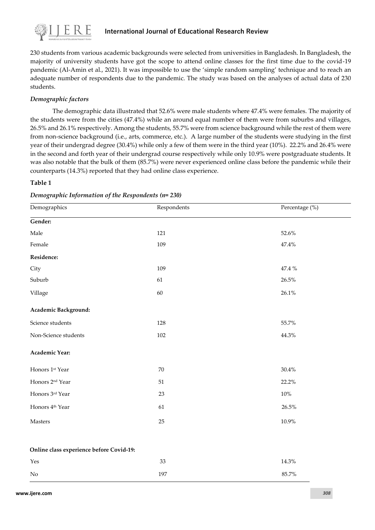

## **International Journal of Educational Research Review**

230 students from various academic backgrounds were selected from universities in Bangladesh. In Bangladesh, the majority of university students have got the scope to attend online classes for the first time due to the covid-19 pandemic (Al-Amin et al., 2021). It was impossible to use the 'simple random sampling' technique and to reach an adequate number of respondents due to the pandemic. The study was based on the analyses of actual data of 230 students.

## *Demographic factors*

The demographic data illustrated that 52.6% were male students where 47.4% were females. The majority of the students were from the cities (47.4%) while an around equal number of them were from suburbs and villages, 26.5% and 26.1% respectively. Among the students, 55.7% were from science background while the rest of them were from non-science background (i.e., arts, commerce, etc.). A large number of the students were studying in the first year of their undergrad degree (30.4%) while only a few of them were in the third year (10%). 22.2% and 26.4% were in the second and forth year of their undergrad course respectively while only 10.9% were postgraduate students. It was also notable that the bulk of them (85.7%) were never experienced online class before the pandemic while their counterparts (14.3%) reported that they had online class experience.

### **Table 1**

| Demographics<br>Respondents              |     | Percentage (%) |
|------------------------------------------|-----|----------------|
| Gender:                                  |     |                |
| Male                                     | 121 | 52.6%          |
| Female                                   | 109 | 47.4%          |
| Residence:                               |     |                |
| City                                     | 109 | 47.4 %         |
| Suburb                                   | 61  | $26.5\%$       |
| Village                                  | 60  | 26.1%          |
| Academic Background:                     |     |                |
| Science students                         | 128 | 55.7%          |
| Non-Science students                     | 102 | 44.3%          |
| <b>Academic Year:</b>                    |     |                |
| Honors 1st Year                          | 70  | 30.4%          |
| Honors 2 <sup>nd</sup> Year              | 51  | 22.2%          |
| Honors 3rd Year                          | 23  | $10\%$         |
| Honors 4 <sup>th</sup> Year              | 61  | 26.5%          |
| Masters                                  | 25  | $10.9\%$       |
| Online class experience before Covid-19: |     |                |
| Yes                                      | 33  | 14.3%          |
| $\rm No$                                 | 197 | 85.7%          |

*Demographic Information of the Respondents (n= 230)*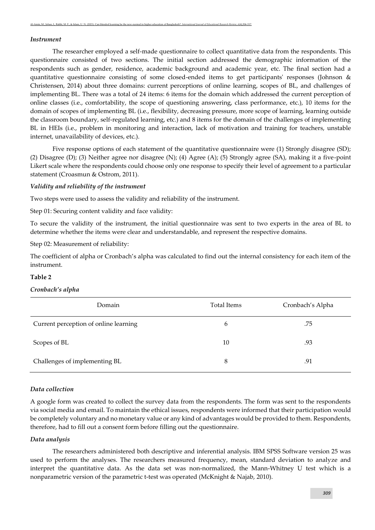#### *Instrument*

The researcher employed a self-made questionnaire to collect quantitative data from the respondents. This questionnaire consisted of two sections. The initial section addressed the demographic information of the respondents such as gender, residence, academic background and academic year, etc. The final section had a quantitative questionnaire consisting of some closed-ended items to get participants' responses (Johnson & Christensen, 2014) about three domains: current perceptions of online learning, scopes of BL, and challenges of implementing BL. There was a total of 24 items: 6 items for the domain which addressed the current perception of online classes (i.e., comfortability, the scope of questioning answering, class performance, etc.), 10 items for the domain of scopes of implementing BL (i.e., flexibility, decreasing pressure, more scope of learning, learning outside the classroom boundary, self-regulated learning, etc.) and 8 items for the domain of the challenges of implementing BL in HEIs (i.e., problem in monitoring and interaction, lack of motivation and training for teachers, unstable internet, unavailability of devices, etc.).

Five response options of each statement of the quantitative questionnaire were (1) Strongly disagree (SD); (2) Disagree (D); (3) Neither agree nor disagree (N); (4) Agree (A); (5) Strongly agree (SA), making it a five-point Likert scale where the respondents could choose only one response to specify their level of agreement to a particular statement (Croasmun & Ostrom, 2011).

#### *Validity and reliability of the instrument*

Two steps were used to assess the validity and reliability of the instrument.

Step 01: Securing content validity and face validity:

To secure the validity of the instrument, the initial questionnaire was sent to two experts in the area of BL to determine whether the items were clear and understandable, and represent the respective domains.

Step 02: Measurement of reliability:

The coefficient of alpha or Cronbach's alpha was calculated to find out the internal consistency for each item of the instrument.

#### **Table 2**

#### *Cronbach's alpha*

| Domain                                | <b>Total Items</b> | Cronbach's Alpha |
|---------------------------------------|--------------------|------------------|
| Current perception of online learning | 6                  | .75              |
| Scopes of BL                          | 10                 | .93              |
| Challenges of implementing BL         | 8                  | .91              |

### *Data collection*

A google form was created to collect the survey data from the respondents. The form was sent to the respondents via social media and email. To maintain the ethical issues, respondents were informed that their participation would be completely voluntary and no monetary value or any kind of advantages would be provided to them. Respondents, therefore, had to fill out a consent form before filling out the questionnaire.

#### *Data analysis*

The researchers administered both descriptive and inferential analysis. IBM SPSS Software version 25 was used to perform the analyses. The researchers measured frequency, mean, standard deviation to analyze and interpret the quantitative data. As the data set was non-normalized, the Mann-Whitney U test which is a nonparametric version of the parametric t-test was operated (McKnight & Najab, 2010).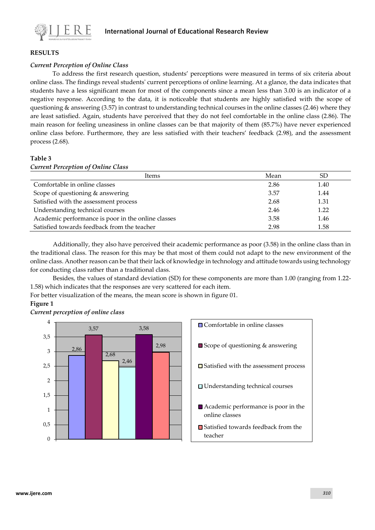

### **RESULTS**

### *Current Perception of Online Class*

To address the first research question, students' perceptions were measured in terms of six criteria about online class. The findings reveal students' current perceptions of online learning. At a glance, the data indicates that students have a less significant mean for most of the components since a mean less than 3.00 is an indicator of a negative response. According to the data, it is noticeable that students are highly satisfied with the scope of questioning & answering (3.57) in contrast to understanding technical courses in the online classes (2.46) where they are least satisfied. Again, students have perceived that they do not feel comfortable in the online class (2.86). The main reason for feeling uneasiness in online classes can be that majority of them (85.7%) have never experienced online class before. Furthermore, they are less satisfied with their teachers' feedback (2.98), and the assessment process (2.68).

### **Table 3**

| <b>Current Perception of Online Class</b>          |      |      |  |
|----------------------------------------------------|------|------|--|
| Items                                              | Mean | SD.  |  |
| Comfortable in online classes                      | 2.86 | 1.40 |  |
| Scope of questioning & answering                   | 3.57 | 1.44 |  |
| Satisfied with the assessment process              | 2.68 | 1.31 |  |
| Understanding technical courses                    | 2.46 | 1.22 |  |
| Academic performance is poor in the online classes | 3.58 | 1.46 |  |
| Satisfied towards feedback from the teacher        | 2.98 | 1.58 |  |

Additionally, they also have perceived their academic performance as poor (3.58) in the online class than in the traditional class. The reason for this may be that most of them could not adapt to the new environment of the online class. Another reason can be that their lack of knowledge in technology and attitude towards using technology for conducting class rather than a traditional class.

Besides, the values of standard deviation (SD) for these components are more than 1.00 (ranging from 1.22- 1.58) which indicates that the responses are very scattered for each item.

For better visualization of the means, the mean score is shown in figure 01.

### **Figure 1**



*Current perception of online class*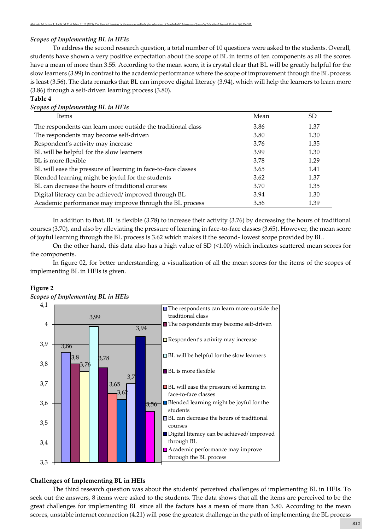### *Scopes of Implementing BL in HEIs*

To address the second research question, a total number of 10 questions were asked to the students. Overall, students have shown a very positive expectation about the scope of BL in terms of ten components as all the scores have a mean of more than 3.55. According to the mean score, it is crystal clear that BL will be greatly helpful for the slow learners (3.99) in contrast to the academic performance where the scope of improvement through the BL process is least (3.56). The data remarks that BL can improve digital literacy (3.94), which will help the learners to learn more (3.86) through a self-driven learning process (3.80).

### **Table 4**

| Scopes of Implementing BL in HEIs                             |      |      |
|---------------------------------------------------------------|------|------|
| Items                                                         | Mean | SD.  |
| The respondents can learn more outside the traditional class  | 3.86 | 1.37 |
| The respondents may become self-driven                        | 3.80 | 1.30 |
| Respondent's activity may increase                            | 3.76 | 1.35 |
| BL will be helpful for the slow learners                      | 3.99 | 1.30 |
| BL is more flexible                                           | 3.78 | 1.29 |
| BL will ease the pressure of learning in face-to-face classes | 3.65 | 1.41 |
| Blended learning might be joyful for the students             | 3.62 | 1.37 |
| BL can decrease the hours of traditional courses              | 3.70 | 1.35 |
| Digital literacy can be achieved/improved through BL          | 3.94 | 1.30 |
| Academic performance may improve through the BL process       | 3.56 | 1.39 |

In addition to that, BL is flexible (3.78) to increase their activity (3.76) by decreasing the hours of traditional courses (3.70), and also by alleviating the pressure of learning in face-to-face classes (3.65). However, the mean score of joyful learning through the BL process is 3.62 which makes it the second- lowest scope provided by BL.

On the other hand, this data also has a high value of SD (<1.00) which indicates scattered mean scores for the components.

In figure 02, for better understanding, a visualization of all the mean scores for the items of the scopes of implementing BL in HEIs is given.

## **Figure 2**





## **Challenges of Implementing BL in HEIs**

The third research question was about the students' perceived challenges of implementing BL in HEIs. To seek out the answers, 8 items were asked to the students. The data shows that all the items are perceived to be the great challenges for implementing BL since all the factors has a mean of more than 3.80. According to the mean scores, unstable internet connection (4.21) will pose the greatest challenge in the path of implementing the BL process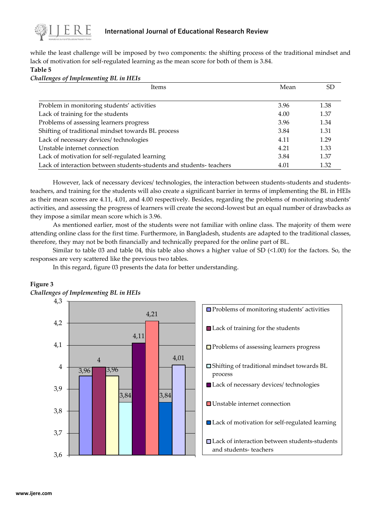

## **International Journal of Educational Research Review**

while the least challenge will be imposed by two components: the shifting process of the traditional mindset and lack of motivation for self-regulated learning as the mean score for both of them is 3.84.

**Table 5**

*Challenges of Implementing BL in HEIs* 

| <b>Items</b>                                                         | Mean | SD   |
|----------------------------------------------------------------------|------|------|
|                                                                      |      |      |
| Problem in monitoring students' activities                           | 3.96 | 1.38 |
| Lack of training for the students                                    | 4.00 | 1.37 |
| Problems of assessing learners progress                              | 3.96 | 1.34 |
| Shifting of traditional mindset towards BL process                   | 3.84 | 1.31 |
| Lack of necessary devices/ technologies                              | 4.11 | 1.29 |
| Unstable internet connection                                         | 4.21 | 1.33 |
| Lack of motivation for self-regulated learning                       | 3.84 | 1.37 |
| Lack of interaction between students-students and students- teachers | 4.01 | 1.32 |

However, lack of necessary devices/ technologies, the interaction between students-students and studentsteachers, and training for the students will also create a significant barrier in terms of implementing the BL in HEIs as their mean scores are 4.11, 4.01, and 4.00 respectively. Besides, regarding the problems of monitoring students' activities, and assessing the progress of learners will create the second-lowest but an equal number of drawbacks as they impose a similar mean score which is 3.96.

As mentioned earlier, most of the students were not familiar with online class. The majority of them were attending online class for the first time. Furthermore, in Bangladesh, students are adapted to the traditional classes, therefore, they may not be both financially and technically prepared for the online part of BL.

Similar to table 03 and table 04, this table also shows a higher value of SD (<1.00) for the factors. So, the responses are very scattered like the previous two tables.

In this regard, figure 03 presents the data for better understanding.

## **Figure 3**

*Challenges of Implementing BL in HEIs*

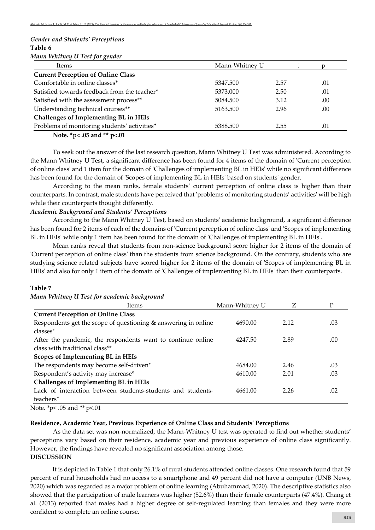## *Gender and Students' Perceptions*  **Table 6** *Mann Whitney U Test for gender*

| Items                                        | Mann-Whitney U |      |     |
|----------------------------------------------|----------------|------|-----|
| <b>Current Perception of Online Class</b>    |                |      |     |
| Comfortable in online classes*               | 5347.500       | 2.57 | .01 |
| Satisfied towards feedback from the teacher* | 5373.000       | 2.50 | .01 |
| Satisfied with the assessment process**      | 5084.500       | 3.12 | .00 |
| Understanding technical courses**            | 5163.500       | 2.96 | .00 |
| Challenges of Implementing BL in HEIs        |                |      |     |
| Problems of monitoring students' activities* | 5388.500       | 2.55 | .01 |
| Note $*_{n}$ 05 and $*_{n}$ 01               |                |      |     |

**Note. \*p< .05 and \*\* p<.01**

To seek out the answer of the last research question, Mann Whitney U Test was administered. According to the Mann Whitney U Test, a significant difference has been found for 4 items of the domain of 'Current perception of online class' and 1 item for the domain of 'Challenges of implementing BL in HEIs' while no significant difference has been found for the domain of 'Scopes of implementing BL in HEIs' based on students' gender.

According to the mean ranks, female students' current perception of online class is higher than their counterparts. In contrast, male students have perceived that 'problems of monitoring students' activities' will be high while their counterparts thought differently.

### *Academic Background and Students' Perceptions*

According to the Mann Whitney U Test, based on students' academic background, a significant difference has been found for 2 items of each of the domains of 'Current perception of online class' and 'Scopes of implementing BL in HEIs' while only 1 item has been found for the domain of 'Challenges of implementing BL in HEIs'.

Mean ranks reveal that students from non-science background score higher for 2 items of the domain of 'Current perception of online class' than the students from science background. On the contrary, students who are studying science related subjects have scored higher for 2 items of the domain of 'Scopes of implementing BL in HEIs' and also for only 1 item of the domain of 'Challenges of implementing BL in HEIs' than their counterparts.

### **Table 7**

|  |  |  | Mann Whitney U Test for academic background |  |
|--|--|--|---------------------------------------------|--|
|--|--|--|---------------------------------------------|--|

| Items                                                          | Mann-Whitney U | Ζ    | D   |
|----------------------------------------------------------------|----------------|------|-----|
| <b>Current Perception of Online Class</b>                      |                |      |     |
| Respondents get the scope of questioning & answering in online | 4690.00        | 2.12 | .03 |
| classes <sup>*</sup>                                           |                |      |     |
| After the pandemic, the respondents want to continue online    | 4247.50        | 2.89 | .00 |
| class with traditional class**                                 |                |      |     |
| Scopes of Implementing BL in HEIs                              |                |      |     |
| The respondents may become self-driven*                        | 4684.00        | 2.46 | .03 |
| Respondent's activity may increase*                            | 4610.00        | 2.01 | .03 |
| Challenges of Implementing BL in HEIs                          |                |      |     |
| Lack of interaction between students-students and students-    | 4661.00        | 2.26 | .02 |
| teachers*                                                      |                |      |     |

Note. \*p< .05 and \*\* p<.01

#### **Residence, Academic Year, Previous Experience of Online Class and Students' Perceptions**

As the data set was non-normalized, the Mann-Whitney U test was operated to find out whether students' perceptions vary based on their residence, academic year and previous experience of online class significantly. However, the findings have revealed no significant association among those. **DISCUSSION**

It is depicted in Table 1 that only 26.1% of rural students attended online classes. One research found that 59 percent of rural households had no access to a smartphone and 49 percent did not have a computer (UNB News, 2020) which was regarded as a major problem of online learning (Abuhammad, 2020). The descriptive statistics also showed that the participation of male learners was higher (52.6%) than their female counterparts (47.4%). Chang et al. (2013) reported that males had a higher degree of self-regulated learning than females and they were more confident to complete an online course.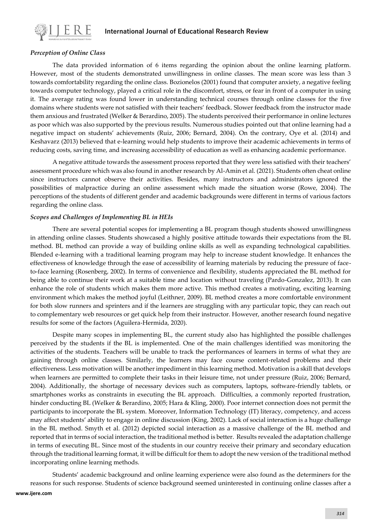

## *Perception of Online Class*

The data provided information of 6 items regarding the opinion about the online learning platform. However, most of the students demonstrated unwillingness in online classes. The mean score was less than 3 towards comfortability regarding the online class. Bozionelos (2001) found that computer anxiety, a negative feeling towards computer technology, played a critical role in the discomfort, stress, or fear in front of a computer in using it. The average rating was found lower in understanding technical courses through online classes for the five domains where students were not satisfied with their teachers' feedback. Slower feedback from the instructor made them anxious and frustrated (Welker & Berardino, 2005). The students perceived their performance in online lectures as poor which was also supported by the previous results. Numerous studies pointed out that online learning had a negative impact on students' achievements (Ruiz, 2006; Bernard, 2004). On the contrary, Oye et al. (2014) and Keshavarz (2013) believed that e-learning would help students to improve their academic achievements in terms of reducing costs, saving time, and increasing accessibility of education as well as enhancing academic performance.

A negative attitude towards the assessment process reported that they were less satisfied with their teachers' assessment procedure which was also found in another research by Al-Amin et al. (2021). Students often cheat online since instructors cannot observe their activities. Besides, many instructors and administrators ignored the possibilities of malpractice during an online assessment which made the situation worse (Rowe, 2004). The perceptions of the students of different gender and academic backgrounds were different in terms of various factors regarding the online class.

## *Scopes and Challenges of Implementing BL in HEIs*

There are several potential scopes for implementing a BL program though students showed unwillingness in attending online classes. Students showcased a highly positive attitude towards their expectations from the BL method. BL method can provide a way of building online skills as well as expanding technological capabilities. Blended e-learning with a traditional learning program may help to increase student knowledge. It enhances the effectiveness of knowledge through the ease of accessibility of learning materials by reducing the pressure of faceto-face learning (Rosenberg, 2002). In terms of convenience and flexibility, students appreciated the BL method for being able to continue their work at a suitable time and location without traveling (Pardo-Gonzalez, 2013). It can enhance the role of students which makes them more active. This method creates a motivating, exciting learning environment which makes the method joyful (Leithner, 2009). BL method creates a more comfortable environment for both slow runners and sprinters and if the learners are struggling with any particular topic, they can reach out to complementary web resources or get quick help from their instructor. However, another research found negative results for some of the factors (Aguilera-Hermida, 2020).

Despite many scopes in implementing BL, the current study also has highlighted the possible challenges perceived by the students if the BL is implemented. One of the main challenges identified was monitoring the activities of the students. Teachers will be unable to track the performances of learners in terms of what they are gaining through online classes. Similarly, the learners may face course content-related problems and their effectiveness. Less motivation will be another impediment in this learning method. Motivation is a skill that develops when learners are permitted to complete their tasks in their leisure time, not under pressure (Ruiz, 2006; Bernard, 2004). Additionally, the shortage of necessary devices such as computers, laptops, software-friendly tablets, or smartphones works as constraints in executing the BL approach. Difficulties, a commonly reported frustration, hinder conducting BL (Welker & Berardino, 2005; Hara & Kling, 2000). Poor internet connection does not permit the participants to incorporate the BL system. Moreover, Information Technology (IT) literacy, competency, and access may affect students' ability to engage in online discussion (King, 2002). Lack of social interaction is a huge challenge in the BL method. Smyth et al. (2012) depicted social interaction as a massive challenge of the BL method and reported that in terms of social interaction, the traditional method is better. Results revealed the adaptation challenge in terms of executing BL. Since most of the students in our country receive their primary and secondary education through the traditional learning format, it will be difficult for them to adopt the new version of the traditional method incorporating online learning methods.

Students' academic background and online learning experience were also found as the determiners for the reasons for such response. Students of science background seemed uninterested in continuing online classes after a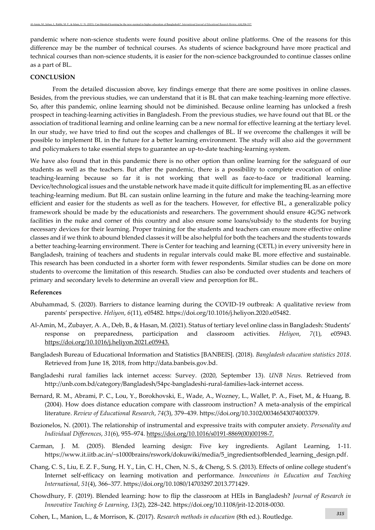pandemic where non-science students were found positive about online platforms. One of the reasons for this difference may be the number of technical courses. As students of science background have more practical and technical courses than non-science students, it is easier for the non-science backgrounded to continue classes online as a part of BL.

### **CONCLUSİON**

From the detailed discussion above, key findings emerge that there are some positives in online classes. Besides, from the previous studies, we can understand that it is BL that can make teaching-learning more effective. So, after this pandemic, online learning should not be diminished. Because online learning has unlocked a fresh prospect in teaching-learning activities in Bangladesh. From the previous studies, we have found out that BL or the association of traditional learning and online learning can be a new normal for effective learning at the tertiary level. In our study, we have tried to find out the scopes and challenges of BL. If we overcome the challenges it will be possible to implement BL in the future for a better learning environment. The study will also aid the government and policymakers to take essential steps to guarantee an up-to-date teaching-learning system.

We have also found that in this pandemic there is no other option than online learning for the safeguard of our students as well as the teachers. But after the pandemic, there is a possibility to complete evocation of online teaching-learning because so far it is not working that well as face-to-face or traditional learning. Device/technological issues and the unstable network have made it quite difficult for implementing BL as an effective teaching-learning medium. But BL can sustain online learning in the future and make the teaching-learning more efficient and easier for the students as well as for the teachers. However, for effective BL, a generalizable policy framework should be made by the educationists and researchers. The government should ensure 4G/5G network facilities in the nuke and corner of this country and also ensure some loans/subsidy to the students for buying necessary devices for their learning. Proper training for the students and teachers can ensure more effective online classes and if we think to abound blended classes it will be also helpful for both the teachers and the students towards a better teaching-learning environment. There is Center for teaching and learning (CETL) in every university here in Bangladesh, training of teachers and students in regular intervals could make BL more effective and sustainable. This research has been conducted in a shorter form with fewer respondents. Similar studies can be done on more students to overcome the limitation of this research. Studies can also be conducted over students and teachers of primary and secondary levels to determine an overall view and perception for BL.

#### **References**

- Abuhammad, S. (2020). Barriers to distance learning during the COVID-19 outbreak: A qualitative review from parents' perspective. *Heliyon*, *6*(11), e05482. https://doi.org/10.1016/j.heliyon.2020.e05482.
- Al-Amin, M., Zubayer, A. A., Deb, B., & Hasan, M. (2021). Status of tertiary level online class in Bangladesh: Students' response on preparedness, participation and classroom activities. *Heliyon*, *7*(1), e05943. [https://doi.org/10.1016/j.heliyon.2021.e05943.](https://doi.org/10.1016/j.heliyon.2021.e05943)
- Bangladesh Bureau of Educational Information and Statistics [BANBEIS]. (2018). *Bangladesh education statistics 2018*. Retrieved from June 18, 2018, from http://data.banbeis.gov.bd.
- Bangladeshi rural families lack internet access: Survey. (2020, September 13). *UNB News.* Retrieved from http://unb.com.bd/category/Bangladesh/54pc-bangladeshi-rural-families-lack-internet access.
- Bernard, R. M., Abrami, P. C., Lou, Y., Borokhovski, E., Wade, A., Wozney, L., Wallet, P. A., Fiset, M., & Huang, B. (2004). How does distance education compare with classroom instruction? A meta-analysis of the empirical literature. *Review of Educational Research*, *74*(3), 379–439. https://doi.org/10.3102/00346543074003379.
- Bozionelos, N. (2001). The relationship of instrumental and expressive traits with computer anxiety. *Personality and Individual Differences*, *31*(6), 955–974[. https://doi.org/10.1016/s0191-8869\(00\)00198-7.](https://doi.org/10.1016/s0191-8869(00)00198-7)
- Carman, J. M. (2005). Blended learning design: Five key ingredients. Agilant Learning, 1-11. https://www.it.iitb.ac.in/~s1000brains/rswork/dokuwiki/media/5\_ingredientsofblended\_learning\_design.pdf.
- Chang, C. S., Liu, E. Z. F., Sung, H. Y., Lin, C. H., Chen, N. S., & Cheng, S. S. (2013). Effects of online college student's Internet self-efficacy on learning motivation and performance. *Innovations in Education and Teaching International*, *51*(4), 366–377. https://doi.org/10.1080/14703297.2013.771429.
- Chowdhury, F. (2019). Blended learning: how to flip the classroom at HEIs in Bangladesh? *Journal of Research in Innovative Teaching & Learning*, *13*(2), 228–242. https://doi.org/10.1108/jrit-12-2018-0030.
- Cohen, L., Manion, L., & Morrison, K. (2017). *Research methods in education* (8th ed.). Routledge. *<sup>315</sup>*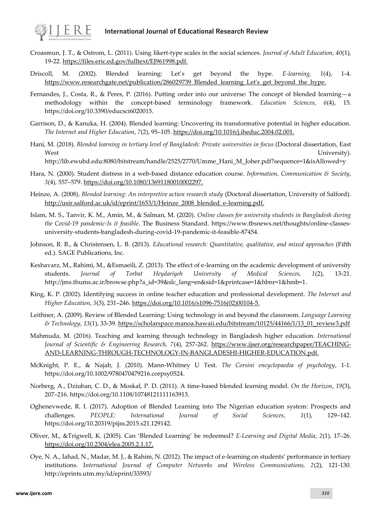

## **International Journal of Educational Research Review**

- Croasmun, J. T., & Ostrom, L. (2011). Using likert-type scales in the social sciences. *Journal of Adult Education, 40*(1), 19-22. [https://files.eric.ed.gov/fulltext/EJ961998.pdf.](https://files.eric.ed.gov/fulltext/EJ961998.pdf)
- Driscoll, M. (2002). Blended learning: Let's get beyond the hype. *E-learning, 1*(4), 1-4. [https://www.researchgate.net/publication/286029739\\_Blended\\_learning\\_Let's\\_get\\_beyond\\_the\\_hype.](https://www.researchgate.net/publication/286029739_Blended_learning_Let)
- Fernandes, J., Costa, R., & Peres, P. (2016). Putting order into our universe: The concept of blended learning—a methodology within the concept-based terminology framework. *Education Sciences*, *6*(4), 15. https://doi.org/10.3390/educsci6020015.
- Garrison, D., & Kanuka, H. (2004). Blended learning: Uncovering its transformative potential in higher education. *The Internet and Higher Education*, *7*(2), 95–105. [https://doi.org/10.1016/j.iheduc.2004.02.001.](https://doi.org/10.1016/j.iheduc.2004.02.001)
- Hani, M. (2018). *Blended learning in tertiary level of Bangladesh: Private universities in focus* (Doctoral dissertation, East West University).

http://lib.ewubd.edu:8080/bitstream/handle/2525/2770/Umme\_Hani\_M\_Joher.pdf?sequence=1&isAllowed=y

- Hara, N. (2000). Student distress in a web-based distance education course. *Information, Communication & Society*, *3*(4), 557–579[. https://doi.org/10.1080/13691180010002297.](https://doi.org/10.1080/13691180010002297)
- Heinze, A. (2008). *Blended learning: An interpretive action research study* (Doctoral dissertation, University of Salford). [http://usir.salford.ac.uk/id/eprint/1653/1/Heinze\\_2008\\_blended\\_e-learning.pdf.](http://usir.salford.ac.uk/id/eprint/1653/1/Heinze_2008_blended_e-learning.pdf)
- Islam, M. S., Tanvir, K. M., Amin, M., & Salman, M. (2020). *Online classes for university students in Bangladesh during the Covid-19 pandemic-Is it feasible*. The Business Standard. https://www.tbsnews.net/thoughts/online-classesuniversity-students-bangladesh-during-covid-19-pandemic-it-feasible-87454.
- Johnson, R. B., & Christensen, L. B. (2013). *Educational research: Quantitative, qualitative, and mixed approaches* (Fifth ed.). SAGE Publications, Inc.
- Keshavarz, M., Rahimi, M., &Esmaeili, Z. (2013). The effect of e-learning on the academic development of university students. *Journal of Torbat Heydariyeh University of Medical Sciences, 1*(2), 13-21. http://jms.thums.ac.ir/browse.php?a\_id=39&slc\_lang=en&sid=1&printcase=1&hbnr=1&hmb=1.
- King, K. P. (2002). Identifying success in online teacher education and professional development. *The Internet and Higher Education*, *5*(3), 231–246. [https://doi.org/10.1016/s1096-7516\(02\)00104-5.](https://doi.org/10.1016/s1096-7516(02)00104-5)
- Leithner, A. (2009). Review of Blended Learning: Using technology in and beyond the classroom. *Language Learning & Technology, 13*(1), 33-39[. https://scholarspace.manoa.hawaii.edu/bitstream/10125/44166/1/13\\_01\\_review3.pdf](https://scholarspace.manoa.hawaii.edu/bitstream/10125/44166/1/13_01_review3.pdf)
- Mahmuda, M. (2016). Teaching and learning through technology in Bangladesh higher education. *International Journal of Scientific & Engineering Research, 7*(4), 257-262. [https://www.ijser.org/researchpaper/TEACHING-](https://www.ijser.org/researchpaper/TEACHING-AND-LEARNING-THROUGH-TECHNOLOGY-IN-BANGLADESHI-HIGHER-EDUCATION.pdf)[AND-LEARNING-THROUGH-TECHNOLOGY-IN-BANGLADESHI-HIGHER-EDUCATION.pdf.](https://www.ijser.org/researchpaper/TEACHING-AND-LEARNING-THROUGH-TECHNOLOGY-IN-BANGLADESHI-HIGHER-EDUCATION.pdf)
- McKnight, P. E., & Najab, J. (2010). Mann‐Whitney U Test. *The Corsini encyclopaedia of psychology*, 1-1. https://doi.org/10.1002/9780470479216.corpsy0524.
- Norberg, A., Dziuban, C. D., & Moskal, P. D. (2011). A time‐based blended learning model. *On the Horizon*, *19*(3), 207–216. https://doi.org/10.1108/10748121111163913.
- Oghenevwede, R. I. (2017). Adoption of Blended Learning into The Nigerian education system: Prospects and challenges. *PEOPLE: International Journal of Social Sciences*, *1*(1), 129–142. https://doi.org/10.20319/pijss.2015.s21.129142.
- Oliver, M., &Trigwell, K. (2005). Can 'Blended Learning' be redeemed? *E-Learning and Digital Media*, *2*(1), 17–26. [https://doi.org/10.2304/elea.2005.2.1.17.](https://doi.org/10.2304/elea.2005.2.1.17)
- Oye, N. A., Iahad, N., Madar, M. J., & Rahim, N. (2012). The impact of e-learning on students' performance in tertiary institutions. I*nternational Journal of Computer Networks and Wireless Communications, 2*(2), 121-130. http://eprints.utm.my/id/eprint/33593/